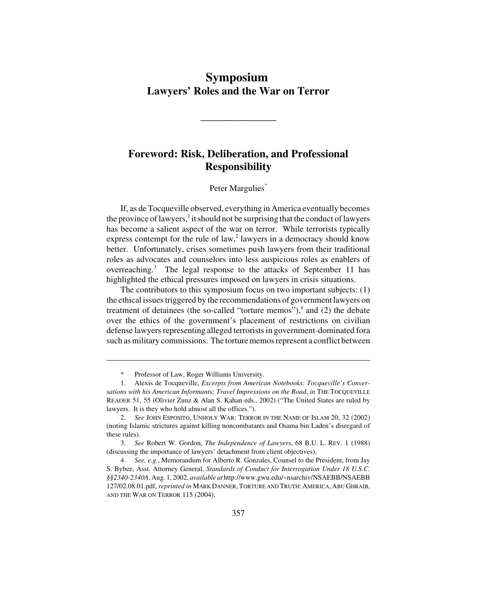# **Symposium Lawyers' Roles and the War on Terror**

**\_\_\_\_\_\_\_\_\_\_\_\_\_\_**

## **Foreword: Risk, Deliberation, and Professional Responsibility**

### Peter Margulies\*

If, as de Tocqueville observed, everything in America eventually becomes the province of lawyers,<sup>1</sup> it should not be surprising that the conduct of lawyers has become a salient aspect of the war on terror. While terrorists typically express contempt for the rule of law, $2$  lawyers in a democracy should know better. Unfortunately, crises sometimes push lawyers from their traditional roles as advocates and counselors into less auspicious roles as enablers of overreaching.<sup>3</sup> The legal response to the attacks of September 11 has highlighted the ethical pressures imposed on lawyers in crisis situations.

The contributors to this symposium focus on two important subjects: (1) the ethical issues triggered by the recommendations of government lawyers on treatment of detainees (the so-called "torture memos"), $4$  and (2) the debate over the ethics of the government's placement of restrictions on civilian defense lawyers representing alleged terrorists in government-dominated fora such as military commissions. The torture memos represent a conflict between

Professor of Law, Roger Williams University.

<sup>1.</sup> Alexis de Tocqueville, *Excerpts from American Notebooks: Tocqueville's Conversations with his American Informants; Travel Impressions on the Road*, *in* THE TOCQUEVILLE READER 51, 55 (Olivier Zunz & Alan S. Kahan eds., 2002) ("The United States are ruled by lawyers. It is they who hold almost all the offices.").

<sup>2.</sup> *See* JOHN ESPOSITO, UNHOLY WAR: TERROR IN THE NAME OF ISLAM 20, 32 (2002) (noting Islamic strictures against killing noncombatants and Osama bin Laden's disregard of these rules).

<sup>3.</sup> *See* Robert W. Gordon, *The Independence of Lawyers*, 68 B.U. L. REV. 1 (1988) (discussing the importance of lawyers' detachment from client objectives).

<sup>4.</sup> *See, e.g.*, Memorandum for Alberto R. Gonzales, Counsel to the President, from Jay S. Bybee, Asst. Attorney General, *Standards of Conduct for Interrogation Under 18 U.S.C. §§2340-2340A*, Aug. 1, 2002, *available at* http://www.gwu.edu/~nsarchiv/NSAEBB/NSAEBB 127/02.08.01.pdf, *reprinted in* MARK DANNER,TORTURE AND TRUTH: AMERICA, ABU GHRAIB, AND THE WAR ON TERROR 115 (2004).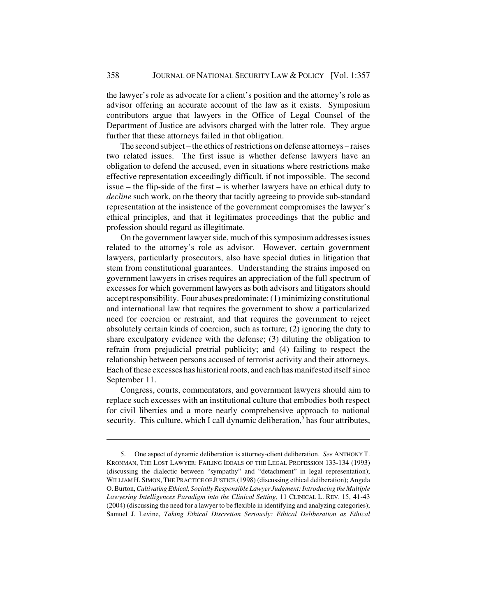the lawyer's role as advocate for a client's position and the attorney's role as advisor offering an accurate account of the law as it exists. Symposium contributors argue that lawyers in the Office of Legal Counsel of the Department of Justice are advisors charged with the latter role. They argue further that these attorneys failed in that obligation.

The second subject – the ethics of restrictions on defense attorneys – raises two related issues. The first issue is whether defense lawyers have an obligation to defend the accused, even in situations where restrictions make effective representation exceedingly difficult, if not impossible. The second issue – the flip-side of the first – is whether lawyers have an ethical duty to *decline* such work, on the theory that tacitly agreeing to provide sub-standard representation at the insistence of the government compromises the lawyer's ethical principles, and that it legitimates proceedings that the public and profession should regard as illegitimate.

On the government lawyer side, much of this symposium addresses issues related to the attorney's role as advisor. However, certain government lawyers, particularly prosecutors, also have special duties in litigation that stem from constitutional guarantees. Understanding the strains imposed on government lawyers in crises requires an appreciation of the full spectrum of excesses for which government lawyers as both advisors and litigators should accept responsibility. Four abuses predominate: (1) minimizing constitutional and international law that requires the government to show a particularized need for coercion or restraint, and that requires the government to reject absolutely certain kinds of coercion, such as torture; (2) ignoring the duty to share exculpatory evidence with the defense; (3) diluting the obligation to refrain from prejudicial pretrial publicity; and (4) failing to respect the relationship between persons accused of terrorist activity and their attorneys. Each of these excesses has historical roots, and each has manifested itself since September 11.

Congress, courts, commentators, and government lawyers should aim to replace such excesses with an institutional culture that embodies both respect for civil liberties and a more nearly comprehensive approach to national security. This culture, which I call dynamic deliberation,<sup>5</sup> has four attributes,

<sup>5.</sup> One aspect of dynamic deliberation is attorney-client deliberation. *See* ANTHONY T. KRONMAN, THE LOST LAWYER: FAILING IDEALS OF THE LEGAL PROFESSION 133-134 (1993) (discussing the dialectic between "sympathy" and "detachment" in legal representation); WILLIAM H. SIMON, THE PRACTICE OF JUSTICE (1998) (discussing ethical deliberation); Angela O. Burton, *Cultivating Ethical, Socially Responsible Lawyer Judgment: Introducing the Multiple Lawyering Intelligences Paradigm into the Clinical Setting*, 11 CLINICAL L. REV. 15, 41-43 (2004) (discussing the need for a lawyer to be flexible in identifying and analyzing categories); Samuel J. Levine, *Taking Ethical Discretion Seriously: Ethical Deliberation as Ethical*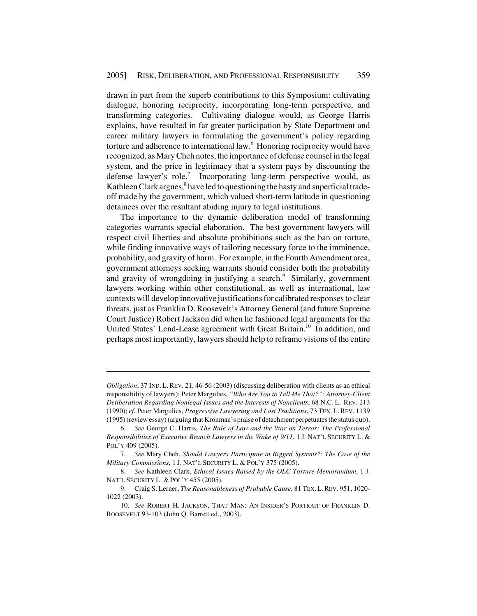drawn in part from the superb contributions to this Symposium: cultivating dialogue, honoring reciprocity, incorporating long-term perspective, and transforming categories. Cultivating dialogue would, as George Harris explains, have resulted in far greater participation by State Department and career military lawyers in formulating the government's policy regarding torture and adherence to international law.<sup>6</sup> Honoring reciprocity would have recognized, as Mary Cheh notes, the importance of defense counsel in the legal system, and the price in legitimacy that a system pays by discounting the defense lawyer's role.<sup>7</sup> Incorporating long-term perspective would, as Kathleen Clark argues,<sup>8</sup> have led to questioning the hasty and superficial tradeoff made by the government, which valued short-term latitude in questioning detainees over the resultant abiding injury to legal institutions.

The importance to the dynamic deliberation model of transforming categories warrants special elaboration. The best government lawyers will respect civil liberties and absolute prohibitions such as the ban on torture, while finding innovative ways of tailoring necessary force to the imminence, probability, and gravity of harm. For example, in the Fourth Amendment area, government attorneys seeking warrants should consider both the probability and gravity of wrongdoing in justifying a search.<sup>9</sup> Similarly, government lawyers working within other constitutional, as well as international, law contexts will develop innovative justifications for calibrated responses to clear threats, just as Franklin D. Roosevelt's Attorney General (and future Supreme Court Justice) Robert Jackson did when he fashioned legal arguments for the United States' Lend-Lease agreement with Great Britain.<sup>10</sup> In addition, and perhaps most importantly, lawyers should help to reframe visions of the entire

*Obligation*, 37 IND. L.REV. 21, 46-56 (2003) (discussing deliberation with clients as an ethical responsibility of lawyers); Peter Margulies, *"Who Are You to Tell Me That?": Attorney-Client Deliberation Regarding Nonlegal Issues and the Interests of Nonclients*, 68 N.C. L. REV. 213 (1990); *cf.* Peter Margulies, *Progressive Lawyering and Lost Traditions*, 73 TEX. L.REV. 1139 (1995) (review essay) (arguing that Kronman's praise of detachment perpetuates the status quo).

<sup>6.</sup> *See* George C. Harris, *The Rule of Law and the War on Terror: The Professional Responsibilities of Executive Branch Lawyers in the Wake of 9/11*, 1 J. NAT'L SECURITY L. & POL'Y 409 (2005).

<sup>7.</sup> *See* Mary Cheh, *Should Lawyers Participate in Rigged Systems?: The Case of the Military Commissions*, 1 J. NAT'L SECURITY L. & POL'Y 375 (2005).

<sup>8.</sup> *See* Kathleen Clark, *Ethical Issues Raised by the OLC Torture Memorandum*, 1 J. NAT'L SECURITY L. & POL'Y 455 (2005).

<sup>9.</sup> Craig S. Lerner, *The Reasonableness of Probable Cause*, 81 TEX.L.REV. 951, 1020- 1022 (2003).

<sup>10.</sup> *See* ROBERT H. JACKSON, THAT MAN: AN INSIDER'S PORTRAIT OF FRANKLIN D. ROOSEVELT 93-103 (John Q. Barrett ed., 2003).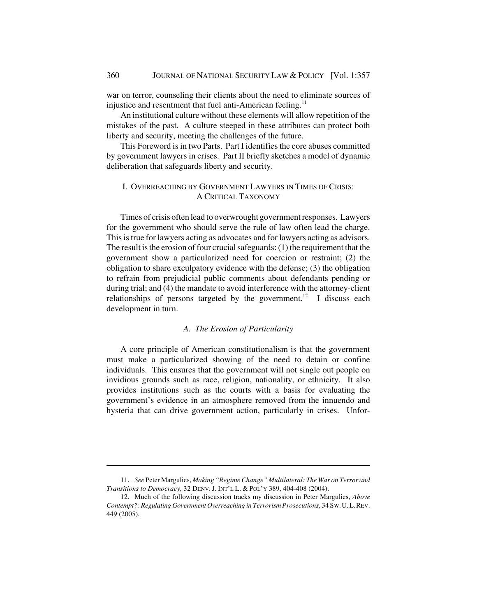war on terror, counseling their clients about the need to eliminate sources of injustice and resentment that fuel anti-American feeling.<sup>11</sup>

An institutional culture without these elements will allow repetition of the mistakes of the past. A culture steeped in these attributes can protect both liberty and security, meeting the challenges of the future.

This Foreword is in two Parts. Part I identifies the core abuses committed by government lawyers in crises. Part II briefly sketches a model of dynamic deliberation that safeguards liberty and security.

#### I. OVERREACHING BY GOVERNMENT LAWYERS IN TIMES OF CRISIS: A CRITICAL TAXONOMY

Times of crisis often lead to overwrought government responses. Lawyers for the government who should serve the rule of law often lead the charge. This is true for lawyers acting as advocates and for lawyers acting as advisors. The result is the erosion of four crucial safeguards: (1) the requirement that the government show a particularized need for coercion or restraint; (2) the obligation to share exculpatory evidence with the defense; (3) the obligation to refrain from prejudicial public comments about defendants pending or during trial; and (4) the mandate to avoid interference with the attorney-client relationships of persons targeted by the government.<sup>12</sup> I discuss each development in turn.

## *A. The Erosion of Particularity*

A core principle of American constitutionalism is that the government must make a particularized showing of the need to detain or confine individuals. This ensures that the government will not single out people on invidious grounds such as race, religion, nationality, or ethnicity. It also provides institutions such as the courts with a basis for evaluating the government's evidence in an atmosphere removed from the innuendo and hysteria that can drive government action, particularly in crises. Unfor-

<sup>11.</sup> *See* Peter Margulies, *Making "Regime Change" Multilateral: The War on Terror and Transitions to Democracy*, 32 DENV. J. INT'L L. & POL'Y 389, 404-408 (2004).

<sup>12.</sup> Much of the following discussion tracks my discussion in Peter Margulies, *Above Contempt?: Regulating Government Overreaching in Terrorism Prosecutions*, 34 SW.U.L.REV. 449 (2005).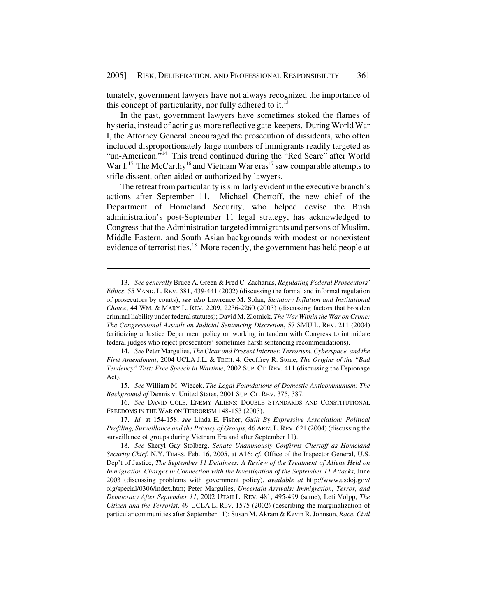tunately, government lawyers have not always recognized the importance of this concept of particularity, nor fully adhered to it.<sup>13</sup>

In the past, government lawyers have sometimes stoked the flames of hysteria, instead of acting as more reflective gate-keepers. During World War I, the Attorney General encouraged the prosecution of dissidents, who often included disproportionately large numbers of immigrants readily targeted as "un-American."<sup>14</sup> This trend continued during the "Red Scare" after World War I.<sup>15</sup> The McCarthy<sup>16</sup> and Vietnam War eras<sup>17</sup> saw comparable attempts to stifle dissent, often aided or authorized by lawyers.

The retreat from particularity is similarly evident in the executive branch's actions after September 11. Michael Chertoff, the new chief of the Department of Homeland Security, who helped devise the Bush administration's post-September 11 legal strategy, has acknowledged to Congress that the Administration targeted immigrants and persons of Muslim, Middle Eastern, and South Asian backgrounds with modest or nonexistent evidence of terrorist ties.<sup>18</sup> More recently, the government has held people at

14. *See* Peter Margulies, *The Clear and Present Internet: Terrorism, Cyberspace, and the First Amendment*, 2004 UCLA J.L. & TECH. 4; Geoffrey R. Stone, *The Origins of the "Bad Tendency" Test: Free Speech in Wartime*, 2002 SUP. CT. REV. 411 (discussing the Espionage Act).

15. *See* William M. Wiecek, *The Legal Foundations of Domestic Anticommunism: The Background of* Dennis v. United States, 2001 SUP. CT. REV. 375, 387.

16. *See* DAVID COLE, ENEMY ALIENS: DOUBLE STANDARDS AND CONSTITUTIONAL FREEDOMS IN THE WAR ON TERRORISM 148-153 (2003).

17. *Id.* at 154-158; *see* Linda E. Fisher, *Guilt By Expressive Association: Political Profiling, Surveillance and the Privacy of Groups*, 46 ARIZ.L.REV. 621 (2004) (discussing the surveillance of groups during Vietnam Era and after September 11).

18. *See* Sheryl Gay Stolberg, *Senate Unanimously Confirms Chertoff as Homeland Security Chief*, N.Y. TIMES, Feb. 16, 2005, at A16; *cf.* Office of the Inspector General, U.S. Dep't of Justice, *The September 11 Detainees: A Review of the Treatment of Aliens Held on Immigration Charges in Connection with the Investigation of the September 11 Attacks*, June 2003 (discussing problems with government policy), *available at* http://www.usdoj.gov/ oig/special/0306/index.htm; Peter Margulies, *Uncertain Arrivals: Immigration, Terror, and Democracy After September 11*, 2002 UTAH L. REV. 481, 495-499 (same); Leti Volpp, *The Citizen and the Terrorist*, 49 UCLA L. REV. 1575 (2002) (describing the marginalization of particular communities after September 11); Susan M. Akram & Kevin R. Johnson, *Race, Civil*

<sup>13.</sup> *See generally* Bruce A. Green & Fred C. Zacharias, *Regulating Federal Prosecutors' Ethics*, 55 VAND. L. REV. 381, 439-441 (2002) (discussing the formal and informal regulation of prosecutors by courts); *see also* Lawrence M. Solan, *Statutory Inflation and Institutional Choice*, 44 WM. & MARY L. REV. 2209, 2236-2260 (2003) (discussing factors that broaden criminal liability under federal statutes); David M. Zlotnick, *The War Within the War on Crime: The Congressional Assault on Judicial Sentencing Discretion*, 57 SMU L. REV. 211 (2004) (criticizing a Justice Department policy on working in tandem with Congress to intimidate federal judges who reject prosecutors' sometimes harsh sentencing recommendations).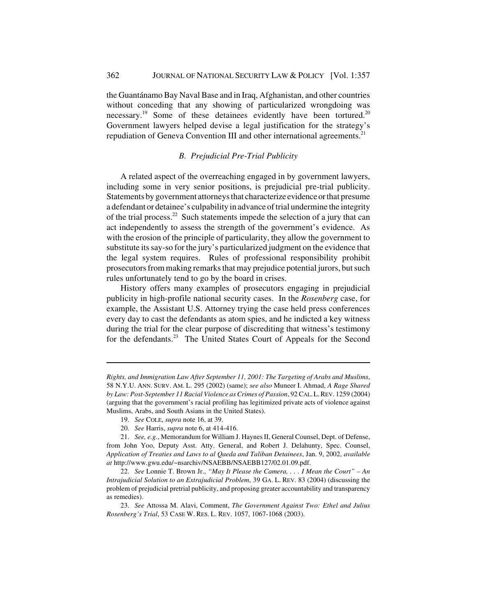the Guantánamo Bay Naval Base and in Iraq, Afghanistan, and other countries without conceding that any showing of particularized wrongdoing was necessary.<sup>19</sup> Some of these detainees evidently have been tortured.<sup>20</sup> Government lawyers helped devise a legal justification for the strategy's repudiation of Geneva Convention III and other international agreements.<sup>21</sup>

#### *B. Prejudicial Pre-Trial Publicity*

A related aspect of the overreaching engaged in by government lawyers, including some in very senior positions, is prejudicial pre-trial publicity. Statements by government attorneys that characterize evidence or that presume a defendant or detainee's culpability in advance of trial undermine the integrity of the trial process.<sup>22</sup> Such statements impede the selection of a jury that can act independently to assess the strength of the government's evidence. As with the erosion of the principle of particularity, they allow the government to substitute its say-so for the jury's particularized judgment on the evidence that the legal system requires. Rules of professional responsibility prohibit prosecutors from making remarks that may prejudice potential jurors, but such rules unfortunately tend to go by the board in crises.

History offers many examples of prosecutors engaging in prejudicial publicity in high-profile national security cases. In the *Rosenberg* case, for example, the Assistant U.S. Attorney trying the case held press conferences every day to cast the defendants as atom spies, and he indicted a key witness during the trial for the clear purpose of discrediting that witness's testimony for the defendants.<sup>23</sup> The United States Court of Appeals for the Second

*Rights, and Immigration Law After September 11, 2001: The Targeting of Arabs and Muslims*, 58 N.Y.U. ANN. SURV. AM. L. 295 (2002) (same); *see also* Muneer I. Ahmad, *A Rage Shared by Law: Post-September 11 Racial Violence as Crimes of Passion*, 92 CAL.L.REV. 1259 (2004) (arguing that the government's racial profiling has legitimized private acts of violence against Muslims, Arabs, and South Asians in the United States).

<sup>19.</sup> *See* COLE, *supra* note 16, at 39.

<sup>20.</sup> *See* Harris, *supra* note 6, at 414-416.

<sup>21.</sup> *See, e.g.*, Memorandum for William J. Haynes II, General Counsel, Dept. of Defense, from John Yoo, Deputy Asst. Atty. General, and Robert J. Delahunty, Spec. Counsel, *Application of Treaties and Laws to al Qaeda and Taliban Detainees*, Jan. 9, 2002, *available at* http://www.gwu.edu/~nsarchiv/NSAEBB/NSAEBB127/02.01.09.pdf.

<sup>22.</sup> *See* Lonnie T. Brown Jr., *"May It Please the Camera, . . . I Mean the Court" – An Intrajudicial Solution to an Extrajudicial Problem*, 39 GA. L. REV. 83 (2004) (discussing the problem of prejudicial pretrial publicity, and proposing greater accountability and transparency as remedies).

<sup>23.</sup> *See* Attossa M. Alavi, Comment, *The Government Against Two: Ethel and Julius Rosenberg's Trial*, 53 CASE W. RES. L. REV. 1057, 1067-1068 (2003).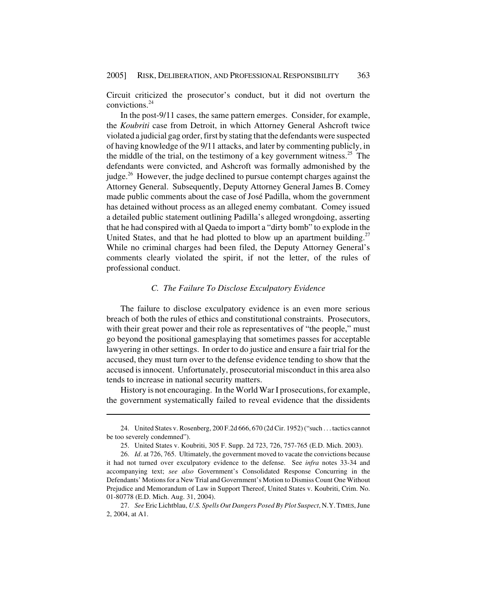Circuit criticized the prosecutor's conduct, but it did not overturn the convictions.24

In the post-9/11 cases, the same pattern emerges. Consider, for example, the *Koubriti* case from Detroit, in which Attorney General Ashcroft twice violated a judicial gag order, first by stating that the defendants were suspected of having knowledge of the 9/11 attacks, and later by commenting publicly, in the middle of the trial, on the testimony of a key government witness.<sup>25</sup> The defendants were convicted, and Ashcroft was formally admonished by the judge.<sup>26</sup> However, the judge declined to pursue contempt charges against the Attorney General. Subsequently, Deputy Attorney General James B. Comey made public comments about the case of José Padilla, whom the government has detained without process as an alleged enemy combatant. Comey issued a detailed public statement outlining Padilla's alleged wrongdoing, asserting that he had conspired with al Qaeda to import a "dirty bomb" to explode in the United States, and that he had plotted to blow up an apartment building.<sup>27</sup> While no criminal charges had been filed, the Deputy Attorney General's comments clearly violated the spirit, if not the letter, of the rules of professional conduct.

#### *C. The Failure To Disclose Exculpatory Evidence*

The failure to disclose exculpatory evidence is an even more serious breach of both the rules of ethics and constitutional constraints. Prosecutors, with their great power and their role as representatives of "the people," must go beyond the positional gamesplaying that sometimes passes for acceptable lawyering in other settings. In order to do justice and ensure a fair trial for the accused, they must turn over to the defense evidence tending to show that the accused is innocent. Unfortunately, prosecutorial misconduct in this area also tends to increase in national security matters.

History is not encouraging. In the World War I prosecutions, for example, the government systematically failed to reveal evidence that the dissidents

<sup>24.</sup> United States v. Rosenberg, 200 F.2d 666, 670 (2d Cir. 1952) ("such . . . tactics cannot be too severely condemned").

<sup>25.</sup> United States v. Koubriti, 305 F. Supp. 2d 723, 726, 757-765 (E.D. Mich. 2003).

<sup>26.</sup> *Id*. at 726, 765. Ultimately, the government moved to vacate the convictions because it had not turned over exculpatory evidence to the defense. See *infra* notes 33-34 and accompanying text; *see also* Government's Consolidated Response Concurring in the Defendants' Motions for a New Trial and Government's Motion to Dismiss Count One Without Prejudice and Memorandum of Law in Support Thereof, United States v. Koubriti, Crim. No. 01-80778 (E.D. Mich. Aug. 31, 2004).

<sup>27.</sup> *See* Eric Lichtblau, *U.S. Spells Out Dangers Posed By Plot Suspect*, N.Y.TIMES, June 2, 2004, at A1.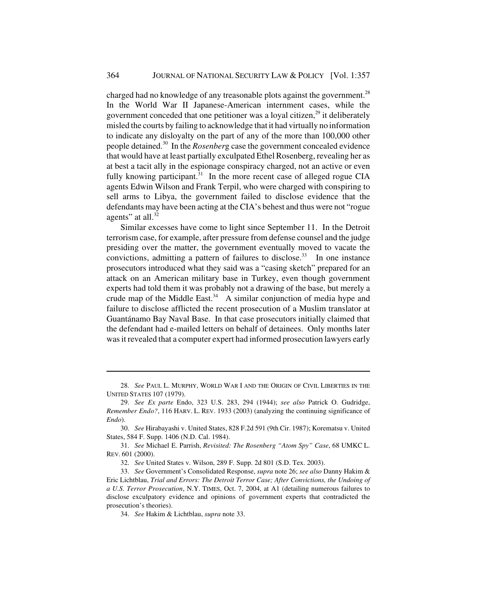charged had no knowledge of any treasonable plots against the government.<sup>28</sup> In the World War II Japanese-American internment cases, while the government conceded that one petitioner was a loyal citizen, $^{29}$  it deliberately misled the courts by failing to acknowledge that it had virtually no information to indicate any disloyalty on the part of any of the more than 100,000 other people detained.30 In the *Rosenber*g case the government concealed evidence that would have at least partially exculpated Ethel Rosenberg, revealing her as at best a tacit ally in the espionage conspiracy charged, not an active or even fully knowing participant.<sup>31</sup> In the more recent case of alleged rogue CIA agents Edwin Wilson and Frank Terpil, who were charged with conspiring to sell arms to Libya, the government failed to disclose evidence that the defendants may have been acting at the CIA's behest and thus were not "rogue agents" at all. $32$ 

Similar excesses have come to light since September 11. In the Detroit terrorism case, for example, after pressure from defense counsel and the judge presiding over the matter, the government eventually moved to vacate the convictions, admitting a pattern of failures to disclose.<sup>33</sup> In one instance prosecutors introduced what they said was a "casing sketch" prepared for an attack on an American military base in Turkey, even though government experts had told them it was probably not a drawing of the base, but merely a crude map of the Middle East.<sup>34</sup> A similar conjunction of media hype and failure to disclose afflicted the recent prosecution of a Muslim translator at Guantánamo Bay Naval Base. In that case prosecutors initially claimed that the defendant had e-mailed letters on behalf of detainees. Only months later was it revealed that a computer expert had informed prosecution lawyers early

<sup>28.</sup> *See* PAUL L. MURPHY, WORLD WAR I AND THE ORIGIN OF CIVIL LIBERTIES IN THE UNITED STATES 107 (1979).

<sup>29.</sup> *See Ex parte* Endo, 323 U.S. 283, 294 (1944); *see also* Patrick O. Gudridge, *Remember Endo?*, 116 HARV. L. REV. 1933 (2003) (analyzing the continuing significance of *Endo*).

<sup>30.</sup> *See* Hirabayashi v. United States, 828 F.2d 591 (9th Cir. 1987); Korematsu v. United States, 584 F. Supp. 1406 (N.D. Cal. 1984).

<sup>31.</sup> *See* Michael E. Parrish, *Revisited: The Rosenberg "Atom Spy" Case*, 68 UMKC L. REV. 601 (2000).

<sup>32.</sup> *See* United States v. Wilson, 289 F. Supp. 2d 801 (S.D. Tex. 2003).

<sup>33.</sup> *See* Government's Consolidated Response, *supra* note 26; *see also* Danny Hakim & Eric Lichtblau, *Trial and Errors: The Detroit Terror Case; After Convictions, the Undoing of a U.S. Terror Prosecution*, N.Y. TIMES, Oct. 7, 2004, at A1 (detailing numerous failures to disclose exculpatory evidence and opinions of government experts that contradicted the prosecution's theories).

<sup>34.</sup> *See* Hakim & Lichtblau, *supra* note 33.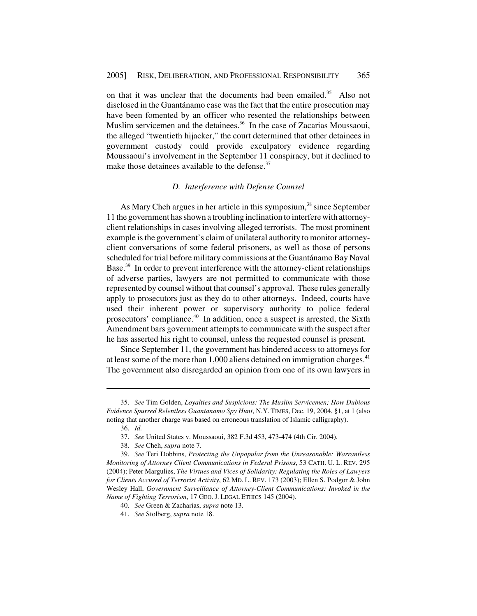on that it was unclear that the documents had been emailed.<sup>35</sup> Also not disclosed in the Guantánamo case was the fact that the entire prosecution may have been fomented by an officer who resented the relationships between Muslim servicemen and the detainees.<sup>36</sup> In the case of Zacarias Moussaoui, the alleged "twentieth hijacker," the court determined that other detainees in government custody could provide exculpatory evidence regarding Moussaoui's involvement in the September 11 conspiracy, but it declined to make those detainees available to the defense. $37$ 

#### *D. Interference with Defense Counsel*

As Mary Cheh argues in her article in this symposium,<sup>38</sup> since September 11 the government has shown a troubling inclination to interfere with attorneyclient relationships in cases involving alleged terrorists. The most prominent example is the government's claim of unilateral authority to monitor attorneyclient conversations of some federal prisoners, as well as those of persons scheduled for trial before military commissions at the Guantánamo Bay Naval Base.39 In order to prevent interference with the attorney-client relationships of adverse parties, lawyers are not permitted to communicate with those represented by counsel without that counsel's approval. These rules generally apply to prosecutors just as they do to other attorneys. Indeed, courts have used their inherent power or supervisory authority to police federal prosecutors' compliance.40 In addition, once a suspect is arrested, the Sixth Amendment bars government attempts to communicate with the suspect after he has asserted his right to counsel, unless the requested counsel is present.

Since September 11, the government has hindered access to attorneys for at least some of the more than  $1,000$  aliens detained on immigration charges.<sup>41</sup> The government also disregarded an opinion from one of its own lawyers in

<sup>35.</sup> *See* Tim Golden, *Loyalties and Suspicions: The Muslim Servicemen; How Dubious Evidence Spurred Relentless Guantanamo Spy Hunt*, N.Y. TIMES, Dec. 19, 2004, §1, at 1 (also noting that another charge was based on erroneous translation of Islamic calligraphy).

<sup>36.</sup> *Id.*

<sup>37.</sup> *See* United States v. Moussaoui, 382 F.3d 453, 473-474 (4th Cir. 2004).

<sup>38.</sup> *See* Cheh, *supra* note 7.

<sup>39.</sup> *See* Teri Dobbins, *Protecting the Unpopular from the Unreasonable: Warrantless Monitoring of Attorney Client Communications in Federal Prisons*, 53 CATH. U. L. REV. 295 (2004); Peter Margulies, *The Virtues and Vices of Solidarity: Regulating the Roles of Lawyers for Clients Accused of Terrorist Activity*, 62 MD. L. REV. 173 (2003); Ellen S. Podgor & John Wesley Hall, *Government Surveillance of Attorney-Client Communications: Invoked in the Name of Fighting Terrorism*, 17 GEO. J. LEGAL ETHICS 145 (2004).

<sup>40.</sup> *See* Green & Zacharias, *supra* note 13.

<sup>41.</sup> *See* Stolberg, *supra* note 18.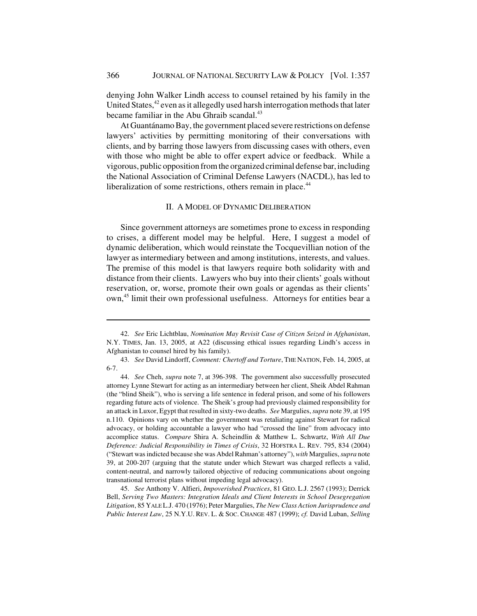denying John Walker Lindh access to counsel retained by his family in the United States, $42$  even as it allegedly used harsh interrogation methods that later became familiar in the Abu Ghraib scandal.<sup>43</sup>

At Guantánamo Bay, the government placed severe restrictions on defense lawyers' activities by permitting monitoring of their conversations with clients, and by barring those lawyers from discussing cases with others, even with those who might be able to offer expert advice or feedback. While a vigorous, public opposition from the organized criminal defense bar, including the National Association of Criminal Defense Lawyers (NACDL), has led to liberalization of some restrictions, others remain in place.<sup>44</sup>

#### II. A MODEL OF DYNAMIC DELIBERATION

Since government attorneys are sometimes prone to excess in responding to crises, a different model may be helpful. Here, I suggest a model of dynamic deliberation, which would reinstate the Tocquevillian notion of the lawyer as intermediary between and among institutions, interests, and values. The premise of this model is that lawyers require both solidarity with and distance from their clients. Lawyers who buy into their clients' goals without reservation, or, worse, promote their own goals or agendas as their clients' own,<sup>45</sup> limit their own professional usefulness. Attorneys for entities bear a

45. *See* Anthony V. Alfieri, *Impoverished Practices*, 81 GEO. L.J. 2567 (1993); Derrick Bell, *Serving Two Masters: Integration Ideals and Client Interests in School Desegregation Litigation*, 85 YALE L.J. 470 (1976); Peter Margulies, *The New Class Action Jurisprudence and Public Interest Law*, 25 N.Y.U. REV. L. & SOC. CHANGE 487 (1999); *cf.* David Luban, *Selling*

<sup>42.</sup> *See* Eric Lichtblau, *Nomination May Revisit Case of Citizen Seized in Afghanistan*, N.Y. TIMES, Jan. 13, 2005, at A22 (discussing ethical issues regarding Lindh's access in Afghanistan to counsel hired by his family).

<sup>43.</sup> *See* David Lindorff, *Comment: Chertoff and Torture*, THE NATION, Feb. 14, 2005, at 6-7.

<sup>44.</sup> *See* Cheh, *supra* note 7, at 396-398. The government also successfully prosecuted attorney Lynne Stewart for acting as an intermediary between her client, Sheik Abdel Rahman (the "blind Sheik"), who is serving a life sentence in federal prison, and some of his followers regarding future acts of violence. The Sheik's group had previously claimed responsibility for an attack in Luxor, Egypt that resulted in sixty-two deaths. *See* Margulies, *supra* note 39, at 195 n.110. Opinions vary on whether the government was retaliating against Stewart for radical advocacy, or holding accountable a lawyer who had "crossed the line" from advocacy into accomplice status. *Compare* Shira A. Scheindlin & Matthew L. Schwartz, *With All Due Deference: Judicial Responsibility in Times of Crisis*, 32 HOFSTRA L. REV. 795, 834 (2004) ("Stewart was indicted because she was Abdel Rahman's attorney"), *with* Margulies, *supra* note 39, at 200-207 (arguing that the statute under which Stewart was charged reflects a valid, content-neutral, and narrowly tailored objective of reducing communications about ongoing transnational terrorist plans without impeding legal advocacy).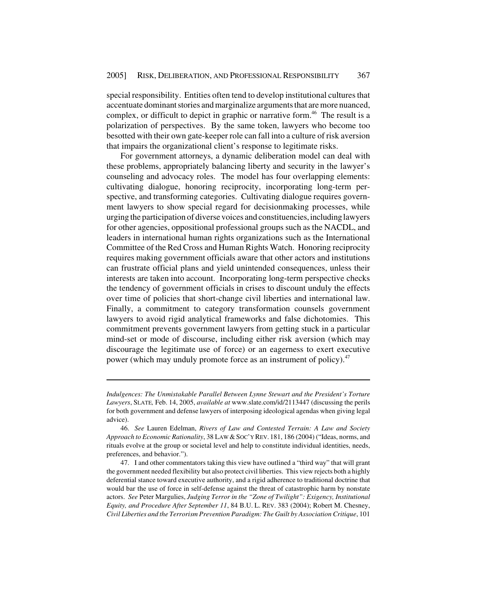special responsibility. Entities often tend to develop institutional cultures that accentuate dominant stories and marginalize arguments that are more nuanced, complex, or difficult to depict in graphic or narrative form.<sup>46</sup> The result is a polarization of perspectives. By the same token, lawyers who become too besotted with their own gate-keeper role can fall into a culture of risk aversion that impairs the organizational client's response to legitimate risks.

For government attorneys, a dynamic deliberation model can deal with these problems, appropriately balancing liberty and security in the lawyer's counseling and advocacy roles. The model has four overlapping elements: cultivating dialogue, honoring reciprocity, incorporating long-term perspective, and transforming categories. Cultivating dialogue requires government lawyers to show special regard for decisionmaking processes, while urging the participation of diverse voices and constituencies, including lawyers for other agencies, oppositional professional groups such as the NACDL, and leaders in international human rights organizations such as the International Committee of the Red Cross and Human Rights Watch. Honoring reciprocity requires making government officials aware that other actors and institutions can frustrate official plans and yield unintended consequences, unless their interests are taken into account. Incorporating long-term perspective checks the tendency of government officials in crises to discount unduly the effects over time of policies that short-change civil liberties and international law. Finally, a commitment to category transformation counsels government lawyers to avoid rigid analytical frameworks and false dichotomies. This commitment prevents government lawyers from getting stuck in a particular mind-set or mode of discourse, including either risk aversion (which may discourage the legitimate use of force) or an eagerness to exert executive power (which may unduly promote force as an instrument of policy).<sup>47</sup>

*Indulgences: The Unmistakable Parallel Between Lynne Stewart and the President's Torture Lawyers*, SLATE*,* Feb. 14, 2005, *available at* www.slate.com/id/2113447 (discussing the perils for both government and defense lawyers of interposing ideological agendas when giving legal advice).

<sup>46.</sup> *See* Lauren Edelman, *Rivers of Law and Contested Terrain: A Law and Society Approach to Economic Rationality*, 38 LAW &SOC'Y REV. 181, 186 (2004) ("Ideas, norms, and rituals evolve at the group or societal level and help to constitute individual identities, needs, preferences, and behavior.").

<sup>47.</sup> I and other commentators taking this view have outlined a "third way" that will grant the government needed flexibility but also protect civil liberties. This view rejects both a highly deferential stance toward executive authority, and a rigid adherence to traditional doctrine that would bar the use of force in self-defense against the threat of catastrophic harm by nonstate actors. *See* Peter Margulies, *Judging Terror in the "Zone of Twilight": Exigency, Institutional Equity, and Procedure After September 11*, 84 B.U. L. REV. 383 (2004); Robert M. Chesney, *Civil Liberties and the Terrorism Prevention Paradigm: The Guilt by Association Critique*, 101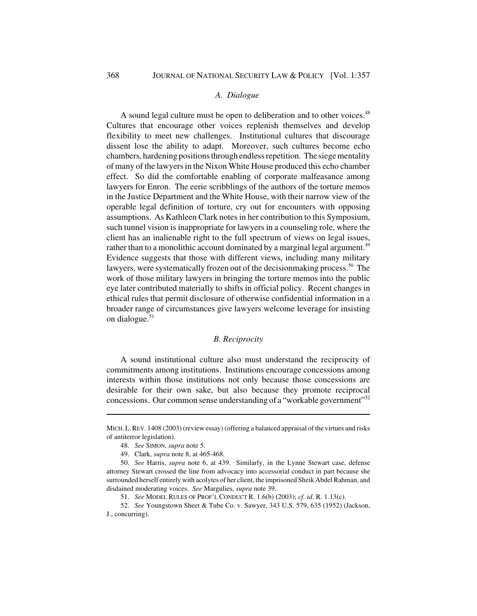#### *A. Dialogue*

A sound legal culture must be open to deliberation and to other voices.<sup>48</sup> Cultures that encourage other voices replenish themselves and develop flexibility to meet new challenges. Institutional cultures that discourage dissent lose the ability to adapt. Moreover, such cultures become echo chambers, hardening positions through endless repetition. The siege mentality of many of the lawyers in the Nixon White House produced this echo chamber effect. So did the comfortable enabling of corporate malfeasance among lawyers for Enron. The eerie scribblings of the authors of the torture memos in the Justice Department and the White House, with their narrow view of the operable legal definition of torture, cry out for encounters with opposing assumptions. As Kathleen Clark notes in her contribution to this Symposium, such tunnel vision is inappropriate for lawyers in a counseling role, where the client has an inalienable right to the full spectrum of views on legal issues, rather than to a monolithic account dominated by a marginal legal argument.<sup>49</sup> Evidence suggests that those with different views, including many military lawyers, were systematically frozen out of the decisionmaking process.<sup>50</sup> The work of those military lawyers in bringing the torture memos into the public eye later contributed materially to shifts in official policy. Recent changes in ethical rules that permit disclosure of otherwise confidential information in a broader range of circumstances give lawyers welcome leverage for insisting on dialogue.<sup>51</sup>

#### *B. Reciprocity*

A sound institutional culture also must understand the reciprocity of commitments among institutions. Institutions encourage concessions among interests within those institutions not only because those concessions are desirable for their own sake, but also because they promote reciprocal concessions. Our common sense understanding of a "workable government"<sup>52</sup>

MICH.L.REV. 1408 (2003) (review essay) (offering a balanced appraisal of the virtues and risks of antiterror legislation).

<sup>48.</sup> *See* SIMON, *supra* note 5.

<sup>49.</sup> Clark, *supra* note 8, at 465-468.

<sup>50.</sup> *See* Harris, *supra* note 6, at 439. Similarly, in the Lynne Stewart case, defense attorney Stewart crossed the line from advocacy into accessorial conduct in part because she surrounded herself entirely with acolytes of her client, the imprisoned Sheik Abdel Rahman, and disdained moderating voices. *See* Margulies, *supra* note 39.

<sup>51.</sup> *See* MODEL RULES OF PROF'L CONDUCT R. 1.6(b) (2003); *cf. id.* R. 1.13(c).

<sup>52.</sup> *See* Youngstown Sheet & Tube Co. v. Sawyer, 343 U.S. 579, 635 (1952) (Jackson, J., concurring).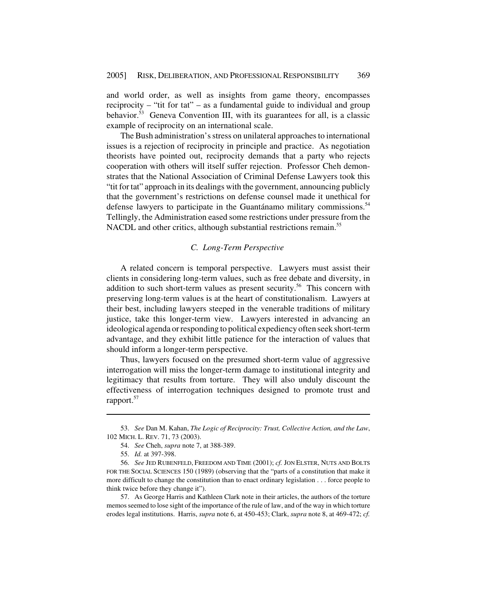and world order, as well as insights from game theory, encompasses reciprocity – "tit for tat" – as a fundamental guide to individual and group behavior. $53$  Geneva Convention III, with its guarantees for all, is a classic example of reciprocity on an international scale.

The Bush administration's stress on unilateral approaches to international issues is a rejection of reciprocity in principle and practice. As negotiation theorists have pointed out, reciprocity demands that a party who rejects cooperation with others will itself suffer rejection. Professor Cheh demonstrates that the National Association of Criminal Defense Lawyers took this "tit for tat" approach in its dealings with the government, announcing publicly that the government's restrictions on defense counsel made it unethical for defense lawyers to participate in the Guantánamo military commissions.<sup>54</sup> Tellingly, the Administration eased some restrictions under pressure from the NACDL and other critics, although substantial restrictions remain.<sup>55</sup>

#### *C. Long-Term Perspective*

A related concern is temporal perspective. Lawyers must assist their clients in considering long-term values, such as free debate and diversity, in addition to such short-term values as present security.<sup>56</sup> This concern with preserving long-term values is at the heart of constitutionalism. Lawyers at their best, including lawyers steeped in the venerable traditions of military justice, take this longer-term view. Lawyers interested in advancing an ideological agenda or responding to political expediency often seek short-term advantage, and they exhibit little patience for the interaction of values that should inform a longer-term perspective.

Thus, lawyers focused on the presumed short-term value of aggressive interrogation will miss the longer-term damage to institutional integrity and legitimacy that results from torture. They will also unduly discount the effectiveness of interrogation techniques designed to promote trust and rapport.<sup>57</sup>

57. As George Harris and Kathleen Clark note in their articles, the authors of the torture memos seemed to lose sight of the importance of the rule of law, and of the way in which torture erodes legal institutions. Harris, *supra* note 6, at 450-453; Clark, *supra* note 8, at 469-472; *cf.*

<sup>53.</sup> *See* Dan M. Kahan, *The Logic of Reciprocity: Trust, Collective Action, and the Law*, 102 MICH. L. REV. 71, 73 (2003).

<sup>54.</sup> *See* Cheh, *supra* note 7, at 388-389.

<sup>55.</sup> *Id.* at 397-398.

<sup>56.</sup> *See* JED RUBENFELD, FREEDOM AND TIME (2001); *cf.* JON ELSTER, NUTS AND BOLTS FOR THE SOCIAL SCIENCES 150 (1989) (observing that the "parts of a constitution that make it more difficult to change the constitution than to enact ordinary legislation . . . force people to think twice before they change it").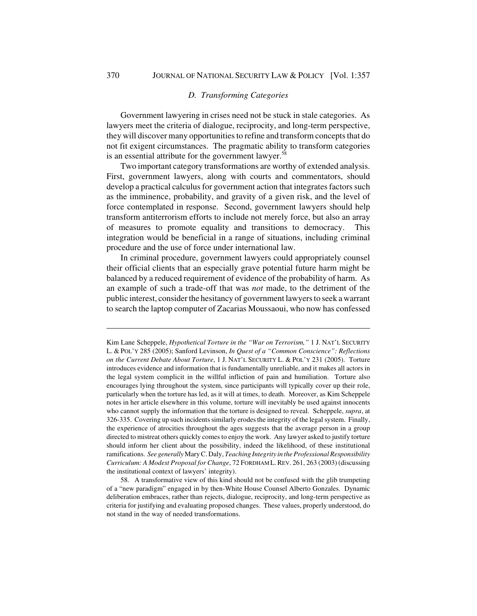#### *D. Transforming Categories*

Government lawyering in crises need not be stuck in stale categories. As lawyers meet the criteria of dialogue, reciprocity, and long-term perspective, they will discover many opportunities to refine and transform concepts that do not fit exigent circumstances. The pragmatic ability to transform categories is an essential attribute for the government lawyer. $58$ 

Two important category transformations are worthy of extended analysis. First, government lawyers, along with courts and commentators, should develop a practical calculus for government action that integrates factors such as the imminence, probability, and gravity of a given risk, and the level of force contemplated in response. Second, government lawyers should help transform antiterrorism efforts to include not merely force, but also an array of measures to promote equality and transitions to democracy. This integration would be beneficial in a range of situations, including criminal procedure and the use of force under international law.

In criminal procedure, government lawyers could appropriately counsel their official clients that an especially grave potential future harm might be balanced by a reduced requirement of evidence of the probability of harm. As an example of such a trade-off that was *not* made, to the detriment of the public interest, consider the hesitancy of government lawyers to seek a warrant to search the laptop computer of Zacarias Moussaoui, who now has confessed

Kim Lane Scheppele, *Hypothetical Torture in the "War on Terrorism,"* 1 J. NAT'L SECURITY L. & POL'Y 285 (2005); Sanford Levinson, *In Quest of a "Common Conscience": Reflections on the Current Debate About Torture*, 1 J. NAT'L SECURITY L. & POL'Y 231 (2005). Torture introduces evidence and information that is fundamentally unreliable, and it makes all actors in the legal system complicit in the willful infliction of pain and humiliation. Torture also encourages lying throughout the system, since participants will typically cover up their role, particularly when the torture has led, as it will at times, to death. Moreover, as Kim Scheppele notes in her article elsewhere in this volume, torture will inevitably be used against innocents who cannot supply the information that the torture is designed to reveal. Scheppele, *supra*, at 326-335. Covering up such incidents similarly erodes the integrity of the legal system. Finally, the experience of atrocities throughout the ages suggests that the average person in a group directed to mistreat others quickly comes to enjoy the work. Any lawyer asked to justify torture should inform her client about the possibility, indeed the likelihood, of these institutional ramifications. *See generally* Mary C. Daly, *Teaching Integrity in the Professional Responsibility Curriculum: A Modest Proposal for Change*, 72 FORDHAM L.REV. 261, 263 (2003) (discussing the institutional context of lawyers' integrity).

<sup>58.</sup> A transformative view of this kind should not be confused with the glib trumpeting of a "new paradigm" engaged in by then-White House Counsel Alberto Gonzales. Dynamic deliberation embraces, rather than rejects, dialogue, reciprocity, and long-term perspective as criteria for justifying and evaluating proposed changes. These values, properly understood, do not stand in the way of needed transformations.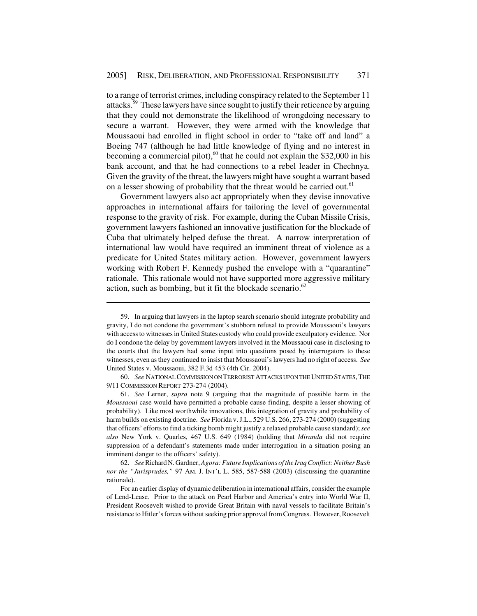to a range of terrorist crimes, including conspiracy related to the September 11 attacks.59 These lawyers have since sought to justify their reticence by arguing that they could not demonstrate the likelihood of wrongdoing necessary to secure a warrant. However, they were armed with the knowledge that Moussaoui had enrolled in flight school in order to "take off and land" a Boeing 747 (although he had little knowledge of flying and no interest in becoming a commercial pilot),<sup>60</sup> that he could not explain the \$32,000 in his bank account, and that he had connections to a rebel leader in Chechnya. Given the gravity of the threat, the lawyers might have sought a warrant based on a lesser showing of probability that the threat would be carried out.<sup>61</sup>

Government lawyers also act appropriately when they devise innovative approaches in international affairs for tailoring the level of governmental response to the gravity of risk. For example, during the Cuban Missile Crisis, government lawyers fashioned an innovative justification for the blockade of Cuba that ultimately helped defuse the threat. A narrow interpretation of international law would have required an imminent threat of violence as a predicate for United States military action. However, government lawyers working with Robert F. Kennedy pushed the envelope with a "quarantine" rationale. This rationale would not have supported more aggressive military action, such as bombing, but it fit the blockade scenario. $62$ 

60. *See* NATIONAL COMMISSION ON TERRORIST ATTACKS UPON THE UNITED STATES,THE 9/11 COMMISSION REPORT 273-274 (2004).

61. *See* Lerner, *supra* note 9 (arguing that the magnitude of possible harm in the *Moussaoui* case would have permitted a probable cause finding, despite a lesser showing of probability). Like most worthwhile innovations, this integration of gravity and probability of harm builds on existing doctrine. *See* Florida v. J.L., 529 U.S. 266, 273-274 (2000) (suggesting that officers' efforts to find a ticking bomb might justify a relaxed probable cause standard); *see also* New York v. Quarles, 467 U.S. 649 (1984) (holding that *Miranda* did not require suppression of a defendant's statements made under interrogation in a situation posing an imminent danger to the officers' safety).

<sup>59.</sup> In arguing that lawyers in the laptop search scenario should integrate probability and gravity, I do not condone the government's stubborn refusal to provide Moussaoui's lawyers with access to witnesses in United States custody who could provide exculpatory evidence. Nor do I condone the delay by government lawyers involved in the Moussaoui case in disclosing to the courts that the lawyers had some input into questions posed by interrogators to these witnesses, even as they continued to insist that Moussaoui's lawyers had no right of access. *See* United States v. Moussaoui, 382 F.3d 453 (4th Cir. 2004).

<sup>62.</sup> *See* Richard N. Gardner, *Agora: Future Implications of the Iraq Conflict: Neither Bush nor the "Jurisprudes,"* 97 AM. J. INT'L L. 585, 587-588 (2003) (discussing the quarantine rationale).

For an earlier display of dynamic deliberation in international affairs, consider the example of Lend-Lease. Prior to the attack on Pearl Harbor and America's entry into World War II, President Roosevelt wished to provide Great Britain with naval vessels to facilitate Britain's resistance to Hitler's forces without seeking prior approval from Congress. However, Roosevelt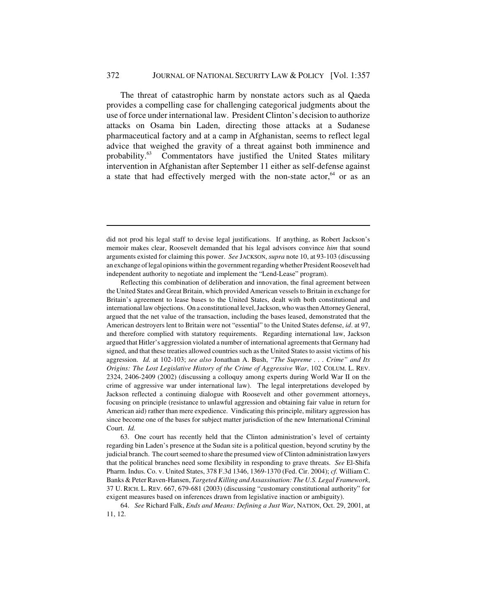The threat of catastrophic harm by nonstate actors such as al Qaeda provides a compelling case for challenging categorical judgments about the use of force under international law. President Clinton's decision to authorize attacks on Osama bin Laden, directing those attacks at a Sudanese pharmaceutical factory and at a camp in Afghanistan, seems to reflect legal advice that weighed the gravity of a threat against both imminence and probability.63 Commentators have justified the United States military intervention in Afghanistan after September 11 either as self-defense against a state that had effectively merged with the non-state actor, $64$  or as an

Reflecting this combination of deliberation and innovation, the final agreement between the United States and Great Britain, which provided American vessels to Britain in exchange for Britain's agreement to lease bases to the United States, dealt with both constitutional and international law objections. On a constitutional level, Jackson, who was then Attorney General, argued that the net value of the transaction, including the bases leased, demonstrated that the American destroyers lent to Britain were not "essential" to the United States defense, *id*. at 97, and therefore complied with statutory requirements. Regarding international law, Jackson argued that Hitler's aggression violated a number of international agreements that Germany had signed, and that these treaties allowed countries such as the United States to assist victims of his aggression. *Id.* at 102-103; *see also* Jonathan A. Bush, *"The Supreme . . . Crime" and Its Origins: The Lost Legislative History of the Crime of Aggressive War*, 102 COLUM. L. REV. 2324, 2406-2409 (2002) (discussing a colloquy among experts during World War II on the crime of aggressive war under international law). The legal interpretations developed by Jackson reflected a continuing dialogue with Roosevelt and other government attorneys, focusing on principle (resistance to unlawful aggression and obtaining fair value in return for American aid) rather than mere expedience. Vindicating this principle, military aggression has since become one of the bases for subject matter jurisdiction of the new International Criminal Court. *Id.*

63. One court has recently held that the Clinton administration's level of certainty regarding bin Laden's presence at the Sudan site is a political question, beyond scrutiny by the judicial branch. The court seemed to share the presumed view of Clinton administration lawyers that the political branches need some flexibility in responding to grave threats. *See* El-Shifa Pharm. Indus. Co. v. United States, 378 F.3d 1346, 1369-1370 (Fed. Cir. 2004); *cf.* William C. Banks & Peter Raven-Hansen, *Targeted Killing and Assassination: The U.S. Legal Framework*, 37 U. RICH. L. REV. 667, 679-681 (2003) (discussing "customary constitutional authority" for exigent measures based on inferences drawn from legislative inaction or ambiguity).

64. *See* Richard Falk, *Ends and Means: Defining a Just War*, NATION, Oct. 29, 2001, at 11, 12.

did not prod his legal staff to devise legal justifications. If anything, as Robert Jackson's memoir makes clear, Roosevelt demanded that his legal advisors convince *him* that sound arguments existed for claiming this power. *See* JACKSON, *supra* note 10, at 93-103 (discussing an exchange of legal opinions within the government regarding whether President Roosevelt had independent authority to negotiate and implement the "Lend-Lease" program).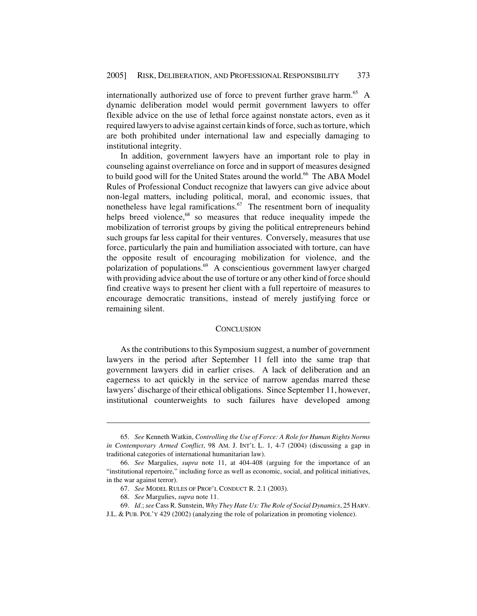internationally authorized use of force to prevent further grave harm.<sup>65</sup> A dynamic deliberation model would permit government lawyers to offer flexible advice on the use of lethal force against nonstate actors, even as it required lawyers to advise against certain kinds of force, such as torture, which are both prohibited under international law and especially damaging to institutional integrity.

In addition, government lawyers have an important role to play in counseling against overreliance on force and in support of measures designed to build good will for the United States around the world.<sup>66</sup> The ABA Model Rules of Professional Conduct recognize that lawyers can give advice about non-legal matters, including political, moral, and economic issues, that nonetheless have legal ramifications.<sup>67</sup> The resentment born of inequality helps breed violence,<sup>68</sup> so measures that reduce inequality impede the mobilization of terrorist groups by giving the political entrepreneurs behind such groups far less capital for their ventures. Conversely, measures that use force, particularly the pain and humiliation associated with torture, can have the opposite result of encouraging mobilization for violence, and the polarization of populations.69 A conscientious government lawyer charged with providing advice about the use of torture or any other kind of force should find creative ways to present her client with a full repertoire of measures to encourage democratic transitions, instead of merely justifying force or remaining silent.

#### **CONCLUSION**

As the contributions to this Symposium suggest, a number of government lawyers in the period after September 11 fell into the same trap that government lawyers did in earlier crises. A lack of deliberation and an eagerness to act quickly in the service of narrow agendas marred these lawyers' discharge of their ethical obligations. Since September 11, however, institutional counterweights to such failures have developed among

<sup>65.</sup> *See* Kenneth Watkin, *Controlling the Use of Force: A Role for Human Rights Norms in Contemporary Armed Conflict*, 98 AM. J. INT'L L. 1, 4-7 (2004) (discussing a gap in traditional categories of international humanitarian law).

<sup>66.</sup> *See* Margulies, *supra* note 11, at 404-408 (arguing for the importance of an "institutional repertoire," including force as well as economic, social, and political initiatives, in the war against terror).

<sup>67.</sup> *See* MODEL RULES OF PROF'L CONDUCT R. 2.1 (2003).

<sup>68.</sup> *See* Margulies, *supra* note 11.

<sup>69.</sup> *Id*.; *see* Cass R. Sunstein, *Why They Hate Us: The Role of Social Dynamics*, 25 HARV. J.L. & PUB. POL'Y 429 (2002) (analyzing the role of polarization in promoting violence).